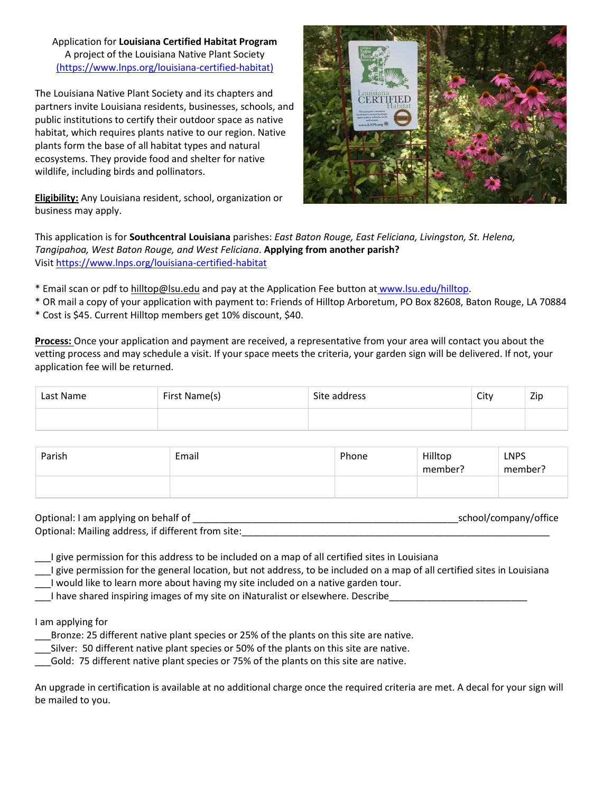Application for **Louisiana Certified Habitat Program** A project of the Louisiana Native Plant Society [\(https://www.lnps.org/louisiana-certified-habitat\)](https://www.lnps.org/louisiana-certified-habitat)

The Louisiana Native Plant Society and its chapters and partners invite Louisiana residents, businesses, schools, and public institutions to certify their outdoor space as native habitat, which requires plants native to our region. Native plants form the base of all habitat types and natural ecosystems. They provide food and shelter for native wildlife, including birds and pollinators.

**Eligibility:** Any Louisiana resident, school, organization or business may apply.



This application is for **Southcentral Louisiana** parishes: *East Baton Rouge, East Feliciana, Livingston, St. Helena, Tangipahoa, West Baton Rouge, and West Feliciana*. **Applying from another parish?**  Visit<https://www.lnps.org/louisiana-certified-habitat>

\* Email scan or pdf to hilltop@lsu.edu and pay at the Application Fee button a[t](http://www.greauxnative.org/) [www.lsu.edu/hilltop.](http://www.greauxnative.org/)

\* OR mail a copy of your application with payment to: Friends of Hilltop Arboretum, PO Box 82608, Baton Rouge, LA 70884

\* Cost is \$45. Current Hilltop members get 10% discount, \$40.

**Process:** Once your application and payment are received, a representative from your area will contact you about the vetting process and may schedule a visit. If your space meets the criteria, your garden sign will be delivered. If not, your application fee will be returned.

| Last Name | First Name(s) | Site address | City | Zip |
|-----------|---------------|--------------|------|-----|
|           |               |              |      |     |

| Parish | Email | Phone | Hilltop<br>member? | <b>LNPS</b><br>member? |
|--------|-------|-------|--------------------|------------------------|
|        |       |       |                    |                        |

| Optional: I am applying on behalf of               | _school/company/office |
|----------------------------------------------------|------------------------|
| Optional: Mailing address, if different from site: |                        |

I give permission for this address to be included on a map of all certified sites in Louisiana

\_\_\_I give permission for the general location, but not address, to be included on a map of all certified sites in Louisiana

\_\_\_I would like to learn more about having my site included on a native garden tour.

\_\_\_I have shared inspiring images of my site on iNaturalist or elsewhere. Describe\_\_\_\_\_\_\_\_\_\_\_\_\_\_\_\_\_\_\_\_\_\_\_\_\_\_

I am applying for

\_\_\_Bronze: 25 different native plant species or 25% of the plants on this site are native.

\_\_\_Silver: 50 different native plant species or 50% of the plants on this site are native.

\_\_\_Gold: 75 different native plant species or 75% of the plants on this site are native.

An upgrade in certification is available at no additional charge once the required criteria are met. A decal for your sign will be mailed to you.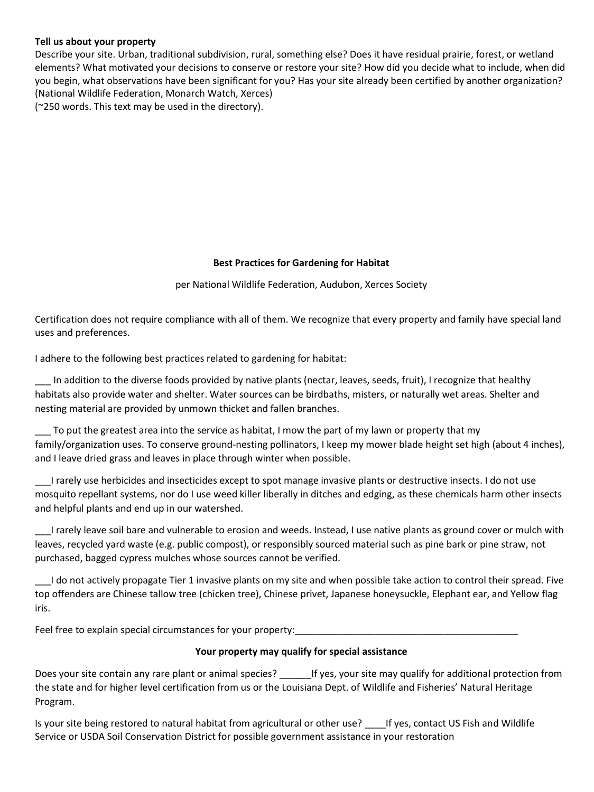## **Tell us about your property**

Describe your site. Urban, traditional subdivision, rural, something else? Does it have residual prairie, forest, or wetland elements? What motivated your decisions to conserve or restore your site? How did you decide what to include, when did you begin, what observations have been significant for you? Has your site already been certified by another organization? (National Wildlife Federation, Monarch Watch, Xerces) (~250 words. This text may be used in the directory).

### **Best Practices for Gardening for Habitat**

per National Wildlife Federation, Audubon, Xerces Society

Certification does not require compliance with all of them. We recognize that every property and family have special land uses and preferences.

I adhere to the following best practices related to gardening for habitat:

In addition to the diverse foods provided by native plants (nectar, leaves, seeds, fruit), I recognize that healthy habitats also provide water and shelter. Water sources can be birdbaths, misters, or naturally wet areas. Shelter and nesting material are provided by unmown thicket and fallen branches.

\_\_\_ To put the greatest area into the service as habitat, I mow the part of my lawn or property that my family/organization uses. To conserve ground-nesting pollinators, I keep my mower blade height set high (about 4 inches), and I leave dried grass and leaves in place through winter when possible.

\_\_\_I rarely use herbicides and insecticides except to spot manage invasive plants or destructive insects. I do not use mosquito repellant systems, nor do I use weed killer liberally in ditches and edging, as these chemicals harm other insects and helpful plants and end up in our watershed.

I rarely leave soil bare and vulnerable to erosion and weeds. Instead, I use native plants as ground cover or mulch with leaves, recycled yard waste (e.g. public compost), or responsibly sourced material such as pine bark or pine straw, not purchased, bagged cypress mulches whose sources cannot be verified.

\_\_\_I do not actively propagate Tier 1 invasive plants on my site and when possible take action to control their spread. Five top offenders are Chinese tallow tree (chicken tree), Chinese privet, Japanese honeysuckle, Elephant ear, and Yellow flag iris.

Feel free to explain special circumstances for your property:

### **Your property may qualify for special assistance**

Does your site contain any rare plant or animal species? <br>If yes, your site may qualify for additional protection from the state and for higher level certification from us or the Louisiana Dept. of Wildlife and Fisheries' Natural Heritage Program.

Is your site being restored to natural habitat from agricultural or other use? \_\_\_\_If yes, contact US Fish and Wildlife Service or USDA Soil Conservation District for possible government assistance in your restoration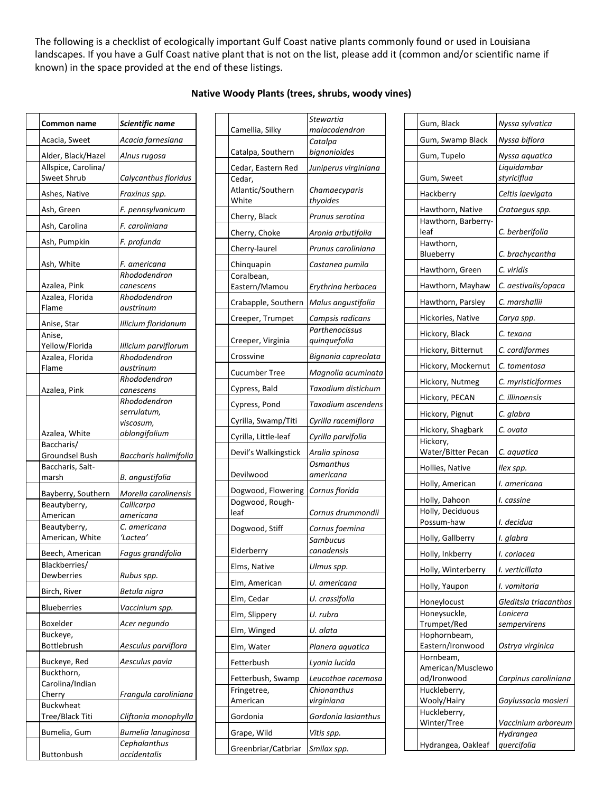The following is a checklist of ecologically important Gulf Coast native plants commonly found or used in Louisiana landscapes. If you have a Gulf Coast native plant that is not on the list, please add it (common and/or scientific name if known) in the space provided at the end of these listings.

<u>a sa Ba</u>

| Common name                        | Scientific name           |
|------------------------------------|---------------------------|
| Acacia, Sweet                      | Acacia farnesiana         |
| Alder, Black/Hazel                 | Alnus rugosa              |
| Allspice, Carolina/<br>Sweet Shrub | Calycanthus floridus      |
| Ashes, Native                      | Fraxinus spp.             |
| Ash, Green                         | F. pennsylvanicum         |
| Ash, Carolina                      | F. caroliniana            |
| Ash, Pumpkin                       | F. profunda               |
| Ash, White                         | F. americana              |
|                                    | Rhododendron              |
| Azalea, Pink                       | canescens                 |
| Azalea, Florida                    | Rhododendron              |
| Flame                              | austrinum                 |
| Anise, Star                        | Illicium floridanum       |
| Anise,                             |                           |
| Yellow/Florida                     | Illicium parviflorum      |
| Azalea, Florida<br>Flame           | Rhododendron<br>austrinum |
|                                    | Rhododendron              |
| Azalea, Pink                       | canescens                 |
|                                    | Rhododendron              |
|                                    | serrulatum,               |
|                                    | viscosum,                 |
| Azalea, White                      | oblongifolium             |
| Baccharis/                         |                           |
| Groundsel Bush                     | Baccharis halimifolia     |
| Baccharis, Salt-                   |                           |
| marsh                              | B. angustifolia           |
| Bayberry, Southern                 | Morella carolinensis      |
| Beautyberry,                       | Callicarpa                |
| American                           | americana                 |
| Beautyberry,                       | C. americana              |
| American, White                    | ʻLactea'                  |
| Beech, American                    | Fagus grandifolia         |
| Blackberries/                      |                           |
| Dewberries                         | Rubus spp.                |
| Birch, River                       | Betula nigra              |
| <b>Blueberries</b>                 | Vaccinium spp.            |
| Boxelder                           | Acer negundo              |
| Buckeye,<br>Bottlebrush            | Aesculus parviflora       |
| Buckeye, Red                       | Aesculus pavia            |
| Buckthorn,                         |                           |
| Carolina/Indian                    |                           |
| Cherry                             | Frangula caroliniana      |
| <b>Buckwheat</b>                   |                           |
| Tree/Black Titi                    | Cliftonia monophylla      |
| Bumelia, Gum                       | Bumelia lanuginosa        |
|                                    | Cephalanthus              |
| Buttonbush                         | occidentalis              |

| Camellia, Silky                  | malacodendron                             |
|----------------------------------|-------------------------------------------|
|                                  | Catalpa                                   |
| Catalpa, Southern                | bignonioides                              |
| Cedar, Eastern Red<br>Cedar,     | Juniperus virginiana                      |
| Atlantic/Southern                | Chamaecyparis                             |
| White                            | thyoides                                  |
| Cherry, Black                    | Prunus serotina                           |
| Cherry, Choke                    | Aronia arbutifolia                        |
| Cherry-laurel                    | Prunus caroliniana                        |
| Chinquapin                       | Castanea pumila                           |
| Coralbean,<br>Eastern/Mamou      |                                           |
|                                  | Erythrina herbacea                        |
| Crabapple, Southern              | Malus angustifolia                        |
| Creeper, Trumpet                 | Campsis radicans                          |
| Creeper, Virginia                | Parthenocissus<br>quinquefolia            |
| Crossvine                        |                                           |
| <b>Cucumber Tree</b>             | Bignonia capreolata<br>Magnolia acuminata |
| Cypress, Bald                    | Taxodium distichum                        |
| Cypress, Pond                    | Taxodium ascendens                        |
|                                  |                                           |
| Cyrilla, Swamp/Titi              | Cyrilla racemiflora                       |
| Cyrilla, Little-leaf             | Cyrilla parvifolia                        |
| Devil's Walkingstick             | Aralia spinosa                            |
| Devilwood                        | Osmanthus<br>americana                    |
| Dogwood, Flowering               | Cornus florida                            |
| Dogwood, Rough-                  |                                           |
| leaf                             | Cornus drummondii                         |
| Dogwood, Stiff                   | Cornus foemina                            |
| Elderberry                       | Sambucus<br>canadensis                    |
|                                  |                                           |
| Elms, Native                     | Ulmus spp.                                |
| Elm, American                    | U. americana                              |
| Elm, Cedar                       | U. crassifolia                            |
| Elm, Slippery                    | U. rubra                                  |
| Elm, Winged                      | U. alata                                  |
| Elm, Water                       | Planera aquatica                          |
| Fetterbush                       | Lyonia lucida                             |
| Fetterbush, Swamp<br>Fringetree, | Leucothoe racemosa<br>Chionanthus         |
| American                         | virginiana                                |
| Gordonia                         | Gordonia lasianthus                       |
| Grape, Wild                      | Vitis spp.                                |
| Greenbriar/Catbriar              | Smilax spp.                               |

| Gum, Black                       | Nyssa sylvatica       |
|----------------------------------|-----------------------|
| Gum, Swamp Black                 | Nyssa biflora         |
| Gum, Tupelo                      | Nyssa aquatica        |
|                                  | Liquidambar           |
| Gum, Sweet                       | styriciflua           |
| Hackberry                        | Celtis laevigata      |
| Hawthorn, Native                 | Crataegus spp.        |
| Hawthorn, Barberry-              |                       |
| leaf<br>Hawthorn,                | C. berberifolia       |
| Blueberry                        | C. brachycantha       |
| Hawthorn, Green                  | C. viridis            |
| Hawthorn, Mayhaw                 | C. aestivalis/opaca   |
| Hawthorn, Parsley                | C. marshallii         |
|                                  |                       |
| Hickories, Native                | Carya spp.            |
| Hickory, Black                   | C. texana             |
| Hickory, Bitternut               | C. cordiformes        |
| Hickory, Mockernut               | C. tomentosa          |
| Hickory, Nutmeg                  | C. myristiciformes    |
| Hickory, PECAN                   | C. illinoensis        |
| Hickory, Pignut                  | C. glabra             |
| Hickory, Shagbark                | C. ovata              |
| Hickory,<br>Water/Bitter Pecan   | C. aquatica           |
| Hollies, Native                  | llex spp.             |
| Holly, American                  | I. americana          |
| Holly, Dahoon                    | I. cassine            |
| Holly, Deciduous                 |                       |
| Possum-haw                       | I. decidua            |
| Holly, Gallberry                 | I. glabra             |
| Holly, Inkberry                  | I. coriacea           |
| Holly, Winterberry               | I. verticillata       |
| Holly, Yaupon                    | I. vomitoria          |
| Honeylocust                      | Gleditsia triacanthos |
| Honeysuckle,                     | Lonicera              |
| Trumpet/Red                      | sempervirens          |
| Hophornbeam,<br>Eastern/Ironwood | Ostrya virginica      |
| Hornbeam,                        |                       |
| American/Musclewo                |                       |
| od/Ironwood                      | Carpinus caroliniana  |
| Huckleberry,                     |                       |
| Wooly/Hairy<br>Huckleberry,      | Gaylussacia mosieri   |
| Winter/Tree                      | Vaccinium arboreum    |
|                                  | Hydrangea             |
| Hydrangea, Oakleaf               | quercifolia           |

# **Native Woody Plants (trees, shrubs, woody vines)**

*Stewartia*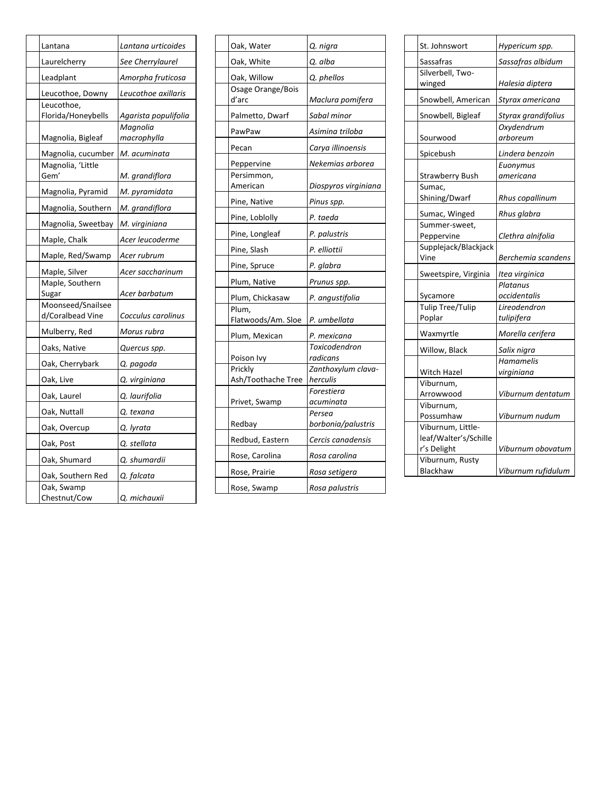| Lantana                               | Lantana urticoides      |
|---------------------------------------|-------------------------|
| Laurelcherry                          | See Cherrylaurel        |
| Leadplant                             | Amorpha fruticosa       |
| Leucothoe, Downy                      | Leucothoe axillaris     |
| Leucothoe,<br>Florida/Honeybells      | Agarista populifolia    |
| Magnolia, Bigleaf                     | Magnolia<br>macrophylla |
| Magnolia, cucumber                    | M. acuminata            |
| Magnolia, 'Little<br>Gem'             | M. grandiflora          |
| Magnolia, Pyramid                     | M. pyramidata           |
| Magnolia, Southern                    | M. grandiflora          |
| Magnolia, Sweetbay                    | M. virginiana           |
| Maple, Chalk                          | Acer leucoderme         |
| Maple, Red/Swamp                      | Acer rubrum             |
| Maple, Silver                         | Acer saccharinum        |
| Maple, Southern<br>Sugar              | Acer barbatum           |
| Moonseed/Snailsee<br>d/Coralbead Vine | Cocculus carolinus      |
| Mulberry, Red                         | Morus rubra             |
| Oaks, Native                          | Quercus spp.            |
| Oak, Cherrybark                       | Q. pagoda               |
| Oak, Live                             | Q. virginiana           |
| Oak, Laurel                           | Q. laurifolia           |
| Oak, Nuttall                          | Q. texana               |
| Oak, Overcup                          | Q. lyrata               |
| Oak, Post                             | Q. stellata             |
| Oak, Shumard                          | Q. shumardii            |
| Oak, Southern Red                     | Q. falcata              |
| Oak, Swamp<br>Chestnut/Cow            | Q. michauxii            |

| Oak, Water                    | Q. nigra                       |
|-------------------------------|--------------------------------|
| Oak, White                    | Q. alba                        |
| Oak, Willow                   | Q. phellos                     |
| Osage Orange/Bois<br>d'arc    | Maclura pomifera               |
| Palmetto, Dwarf               | Sabal minor                    |
| PawPaw                        | Asimina triloba                |
| Pecan                         | Carya illinoensis              |
| Peppervine                    | Nekemias arborea               |
| Persimmon,<br>American        | Diospyros virginiana           |
| Pine, Native                  | Pinus spp.                     |
| Pine, Loblolly                | P. taeda                       |
| Pine, Longleaf                | P. palustris                   |
| Pine, Slash                   | P. elliottii                   |
| Pine, Spruce                  | P. glabra                      |
| Plum, Native                  | Prunus spp.                    |
| Plum, Chickasaw               | P. angustifolia                |
| Plum,<br>Flatwoods/Am. Sloe   | P. umbellata                   |
| Plum, Mexican                 | P. mexicana                    |
| Poison Ivy                    | Toxicodendron<br>radicans      |
| Prickly<br>Ash/Toothache Tree | Zanthoxylum clava-<br>herculis |
| Privet, Swamp                 | Forestiera<br>acuminata        |
| Redbay                        | Persea<br>borbonia/palustris   |
| Redbud, Eastern               | Cercis canadensis              |
| Rose, Carolina                | Rosa carolina                  |
| Rose, Prairie                 | Rosa setigera                  |
| Rose, Swamp                   | Rosa palustris                 |
|                               |                                |

| St. Johnswort          | Hypericum spp.      |
|------------------------|---------------------|
| Sassafras              | Sassafras albidum   |
| Silverbell, Two-       |                     |
| winged                 | Halesia diptera     |
| Snowbell, American     | Styrax americana    |
| Snowbell, Bigleaf      | Styrax grandifolius |
|                        | Oxydendrum          |
| Sourwood               | arboreum            |
| Spicebush              | Lindera benzoin     |
|                        | Euonymus            |
| <b>Strawberry Bush</b> | americana           |
| Sumac,                 |                     |
| Shining/Dwarf          | Rhus copallinum     |
| Sumac, Winged          | Rhus glabra         |
| Summer-sweet,          |                     |
| Peppervine             | Clethra alnifolia   |
| Supplejack/Blackjack   |                     |
| Vine                   | Berchemia scandens  |
| Sweetspire, Virginia   | Itea virginica      |
|                        | Platanus            |
| Sycamore               | occidentalis        |
| Tulip Tree/Tulip       | Lireodendron        |
| Poplar                 | tulipifera          |
| Waxmyrtle              | Morella cerifera    |
| Willow, Black          | Salix nigra         |
|                        | Hamamelis           |
| Witch Hazel            | virginiana          |
| Viburnum,              |                     |
| Arrowwood              | Viburnum dentatum   |
| Viburnum,              |                     |
| Possumhaw              | Viburnum nudum      |
| Viburnum, Little-      |                     |
| leaf/Walter's/Schille  |                     |
| r's Delight            | Viburnum obovatum   |
| Viburnum, Rusty        |                     |
| <b>Blackhaw</b>        | Viburnum rufidulum  |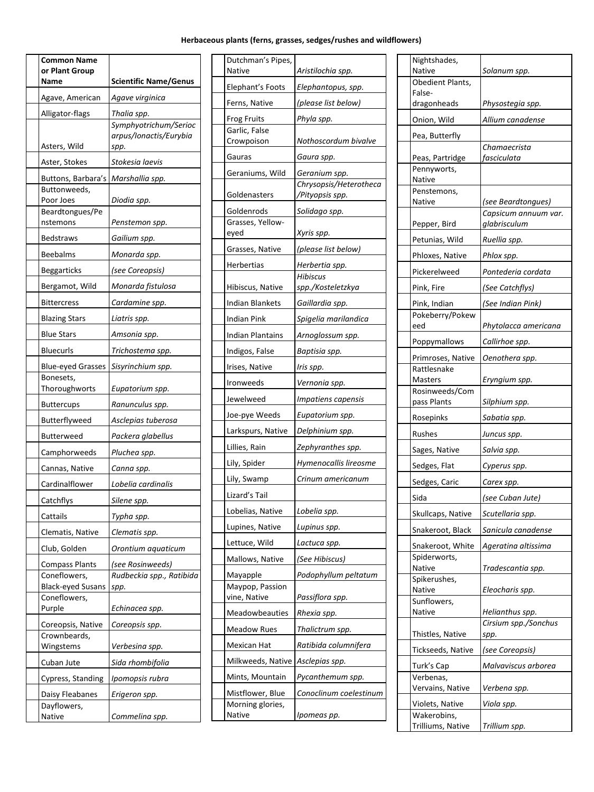### **Herbaceous plants (ferns, grasses, sedges/rushes and wildflowers)**

| <b>Common Name</b><br>or Plant Group<br>Name | <b>Scientific Name/Genus</b>                            |
|----------------------------------------------|---------------------------------------------------------|
| Agave, American                              | Agave virginica                                         |
| Alligator-flags                              | Thalia spp.                                             |
| Asters, Wild                                 | Symphyotrichum/Serioc<br>arpus/lonactis/Eurybia<br>spp. |
| Aster, Stokes                                | Stokesia laevis                                         |
| Buttons, Barbara's                           | Marshallia spp.                                         |
| Buttonweeds,<br>Poor Joes                    | Diodia spp.                                             |
| Beardtongues/Pe                              |                                                         |
| nstemons                                     | Penstemon spp.                                          |
| <b>Bedstraws</b>                             | Gailium spp.                                            |
| <b>Beebalms</b>                              | Monarda spp.                                            |
| <b>Beggarticks</b>                           | (see Coreopsis)                                         |
| Bergamot, Wild                               | Monarda fistulosa                                       |
| Bittercress                                  | Cardamine spp.                                          |
| <b>Blazing Stars</b>                         | Liatris spp.                                            |
| Blue Stars                                   | Amsonia <u>spp.</u>                                     |
| <b>Bluecurls</b>                             | Trichostema spp.                                        |
| <b>Blue-eyed Grasses</b>                     | Sisyrinchium spp.                                       |
| Bonesets,<br>Thoroughworts                   | Eupatorium spp.                                         |
| <b>Buttercups</b>                            | Ranunculus spp.                                         |
| Butterflyweed                                | Asclepias tuberosa                                      |
| <b>Butterweed</b>                            | Packera glabellus                                       |
| Camphorweeds                                 | Pluchea spp.                                            |
| Cannas, Native                               | Canna spp.                                              |
| Cardinalflower                               | Lobelia cardinalis                                      |
| Catchflys                                    | Silene spp.                                             |
| Cattails                                     | Typha spp.                                              |
| Clematis, Native                             | Clematis spp.                                           |
| Club, Golden                                 | Orontium aquaticum                                      |
| <b>Compass Plants</b>                        | (see Rosinweeds)                                        |
| Coneflowers,                                 | Rudbeckia spp., Ratibida                                |
| <b>Black-eyed Susans</b><br>Coneflowers,     | spp.                                                    |
| Purple                                       | Echinacea spp.                                          |
| Coreopsis, Native                            | Coreopsis spp.                                          |
| Crownbeards,                                 |                                                         |
| Wingstems                                    | Verbesina spp.                                          |
| Cuban Jute                                   | Sida rhombifolia                                        |
| Cypress, Standing                            | Ipomopsis rubra                                         |
| Daisy Fleabanes<br>Dayflowers,               | Erigeron spp.                                           |
| Native                                       | Commelina spp.                                          |
|                                              |                                                         |

| Dutchman's Pipes,<br>Native     | Aristilochia spp.                         |
|---------------------------------|-------------------------------------------|
| Elephant's Foots                | Elephantopus, spp.                        |
| Ferns, Native                   | (please list below)                       |
| <b>Frog Fruits</b>              | Phyla spp.                                |
| Garlic, False<br>Crowpoison     | Nothoscordum bivalve                      |
| Gauras                          | Gaura spp.                                |
| Geraniums, Wild                 | Geranium spp.                             |
| Goldenasters                    | Chrysopsis/Heterotheca<br>/Pityopsis spp. |
| Goldenrods                      | Solidago spp.                             |
| Grasses, Yellow-<br>eyed        | Xyris spp.                                |
| Grasses, Native                 | (please list below)                       |
| Herbertias                      | Herbertia spp.                            |
|                                 | Hibiscus                                  |
| Hibiscus, Native                | spp./Kosteletzkya                         |
| <b>Indian Blankets</b>          | Gaillardia spp.                           |
| Indian Pink                     | Spigelia marilandica                      |
| <b>Indian Plantains</b>         | Arnoglossum spp.                          |
| Indigos, False                  | Baptisia spp.                             |
| Irises, Native                  | Iris spp.                                 |
| Ironweeds                       | Vernonia spp.                             |
| Jewelweed                       | Impatiens capensis                        |
| Joe-pye Weeds                   | Eupatorium spp.                           |
| Larkspurs, Native               | Delphinium spp.                           |
| Lillies, Rain                   | Zephyranthes spp.                         |
| Lily, Spider                    | Hymenocallis lireosme                     |
| Lily, Swamp                     | Crinum americanum                         |
| Lizard's Tail                   |                                           |
| Lobelias, Native                | Lobelia spp.                              |
| Lupines, Native                 | Lupinus spp.                              |
| Lettuce, Wild                   | Lactuca spp.                              |
| Mallows, Native                 | (See Hibiscus)                            |
| Mayapple                        | Podophyllum peltatum                      |
| Maypop, Passion<br>vine, Native | Passiflora spp.                           |
| Meadowbeauties                  | Rhexia <u>spp.</u>                        |
| <b>Meadow Rues</b>              | Thalictrum spp.                           |
| Mexican Hat                     | Ratibida columnifera                      |
| Milkweeds, Native               | Asclepias spp.                            |
| Mints, Mountain                 | Pycanthemum spp.                          |
| Mistflower, Blue                | Conoclinum coelestinum                    |
| Morning glories,<br>Native      | Ipomeas pp.                               |
|                                 |                                           |

| Nightshades,<br>Native          | Solanum spp.                         |
|---------------------------------|--------------------------------------|
| Obedient Plants,                |                                      |
| False-                          |                                      |
| dragonheads                     | Physostegia spp.                     |
| Onion, Wild                     | Allium canadense                     |
| Pea, Butterfly                  | Chamaecrista                         |
| Peas, Partridge                 | fasciculata                          |
| Pennyworts,<br>Native           |                                      |
| Penstemons,                     |                                      |
| Native                          | (see Beardtongues)                   |
| Pepper, Bird                    | Capsicum annuum var.<br>glabrisculum |
| Petunias, Wild                  | Ruellia spp.                         |
| Phloxes, Native                 | Phlox spp.                           |
| Pickerelweed                    | Pontederia cordata                   |
|                                 |                                      |
| Pink, Fire                      | (See Catchflys)                      |
| Pink, Indian<br>Pokeberry/Pokew | (See Indian Pink)                    |
| eed                             | Phytolacca americana                 |
| Poppymallows                    | Callirhoe spp.                       |
| Primroses, Native               | Oenothera spp.                       |
| Rattlesnake                     |                                      |
| Masters<br>Rosinweeds/Com       | Eryngium spp.                        |
| pass Plants                     | Silphium spp.                        |
| Rosepinks                       | Sabatia spp.                         |
| Rushes                          | Juncus spp.                          |
| Sages, Native                   | Salvia spp.                          |
| Sedges, Flat                    | Cyperus spp.                         |
| Sedges, Caric                   | Carex spp.                           |
| Sida                            | (see Cuban Jute)                     |
| Skullcaps, Native               | Scutellaria spp.                     |
| Snakeroot, Black                | Sanicula canadense                   |
| Snakeroot, White                | Ageratina altissima                  |
| Spiderworts,                    |                                      |
| Native<br>Spikerushes,          | Tradescantia spp.                    |
| Native                          | Eleocharis spp.                      |
| Sunflowers,<br>Native           | Helianthus spp.                      |
|                                 | Cirsium spp./Sonchus                 |
| Thistles, Native                | spp.                                 |
| Tickseeds, Native               | (see Coreopsis)                      |
| Turk's Cap                      | Malvaviscus arborea                  |
| Verbenas,<br>Vervains, Native   | Verbena spp.                         |
| Violets, Native                 | Viola spp.                           |
| Wakerobins,                     |                                      |
| Trilliums, Native               | Trillium spp.                        |